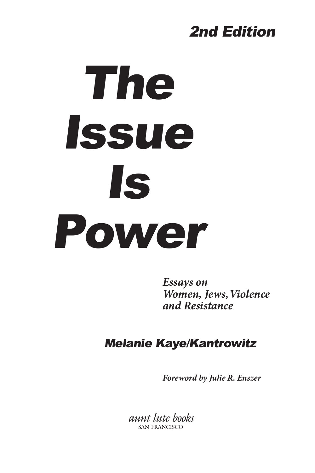# 2nd Edition

# The Issue Is Power

*Essays on Women, Jews, Violence and Resistance*

## Melanie Kaye/Kantrowitz

*Foreword by Julie R. Enszer*

*aunt lute books* san francisco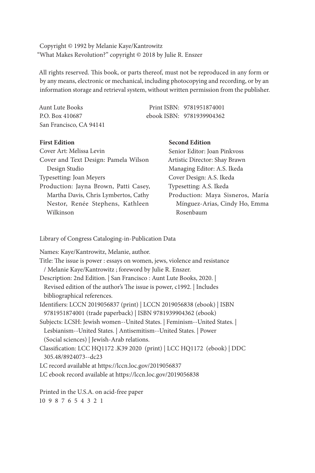Copyright © 1992 by Melanie Kaye/Kantrowitz "What Makes Revolution?" copyright © 2018 by Julie R. Enszer

All rights reserved. This book, or parts thereof, must not be reproduced in any form or by any means, electronic or mechanical, including photocopying and recording, or by an information storage and retrieval system, without written permission from the publisher.

| Aunt Lute Books         | Print ISBN: 9781951874001 |
|-------------------------|---------------------------|
| P.O. Box 410687         | ebook ISBN: 9781939904362 |
| San Francisco, CA 94141 |                           |

#### **First Edition**

| Senior Editor: Joan Pinkvoss     |  |
|----------------------------------|--|
| Artistic Director: Shay Brawn    |  |
| Managing Editor: A.S. Ikeda      |  |
| Cover Design: A.S. Ikeda         |  |
| Typesetting: A.S. Ikeda          |  |
| Production: Maya Sisneros, María |  |
| Mínguez-Arias, Cindy Ho, Emma    |  |
| Rosenbaum                        |  |
|                                  |  |

**Second Edition**

Library of Congress Cataloging-in-Publication Data

Names: Kaye/Kantrowitz, Melanie, author.

| Title: The issue is power : essays on women, jews, violence and resistance |
|----------------------------------------------------------------------------|
| / Melanie Kaye/Kantrowitz ; foreword by Julie R. Enszer.                   |
| Description: 2nd Edition.   San Francisco : Aunt Lute Books, 2020.         |
| Revised edition of the author's The issue is power, c1992.   Includes      |
| bibliographical references.                                                |
| Identifiers: LCCN 2019056837 (print)   LCCN 2019056838 (ebook)   ISBN      |
| 9781951874001 (trade paperback)   ISBN 9781939904362 (ebook)               |
| Subjects: LCSH: Jewish women--United States.   Feminism--United States.    |
| Lesbianism--United States.   Antisemitism--United States.   Power          |
| (Social sciences)   Jewish-Arab relations.                                 |
| Classification: LCC HQ1172 .K39 2020 (print)   LCC HQ1172 (ebook)   DDC    |
| 305.48/8924073--dc23                                                       |
| LC record available at https://lccn.loc.gov/2019056837                     |
| LC ebook record available at https://lccn.loc.gov/2019056838               |
| Printed in the U.S.A. on acid-free paper                                   |
| 10 9 8 7 6 5 4 3 2 1                                                       |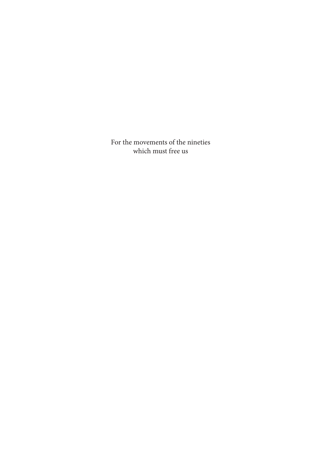For the movements of the nineties which must free us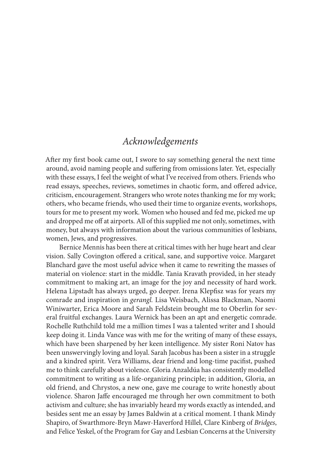### *Acknowledgements*

After my first book came out, I swore to say something general the next time around, avoid naming people and suffering from omissions later. Yet, especially with these essays, I feel the weight of what I've received from others. Friends who read essays, speeches, reviews, sometimes in chaotic form, and offered advice, criticism, encouragement. Strangers who wrote notes thanking me for my work; others, who became friends, who used their time to organize events, workshops, tours for me to present my work. Women who housed and fed me, picked me up and dropped me off at airports. All of this supplied me not only, sometimes, with money, but always with information about the various communities of lesbians, women, Jews, and progressives.

Bernice Mennis has been there at critical times with her huge heart and clear vision. Sally Covington offered a critical, sane, and supportive voice. Margaret Blanchard gave the most useful advice when it came to rewriting the masses of material on violence: start in the middle. Tania Kravath provided, in her steady commitment to making art, an image for the joy and necessity of hard work. Helena Lipstadt has always urged, go deeper. Irena Klepfisz was for years my comrade and inspiration in *gerangl.* Lisa Weisbach, Alissa Blackman, Naomi Winiwarter, Erica Moore and Sarah Feldstein brought me to Oberlin for several fruitful exchanges. Laura Wernick has been an apt and energetic comrade. Rochelle Ruthchild told me a million times I was a talented writer and I should keep doing it. Linda Vance was with me for the writing of many of these essays, which have been sharpened by her keen intelligence. My sister Roni Natov has been unswervingly loving and loyal. Sarah Jacobus has been a sister in a struggle and a kindred spirit. Vera Williams, dear friend and long-time pacifist, pushed me to think carefully about violence. Gloria Anzaldúa has consistently modelled commitment to writing as a life-organizing principle; in addition, Gloria, an old friend, and Chrystos, a new one, gave me courage to write honestly about violence. Sharon Jaffe encouraged me through her own commitment to both activism and culture; she has invariably heard my words exactly as intended, and besides sent me an essay by James Baldwin at a critical moment. I thank Mindy Shapiro, of Swarthmore-Bryn Mawr-Haverford Hillel, Clare Kinberg of *Bridges*, and Felice Yeskel, of the Program for Gay and Lesbian Concerns at the University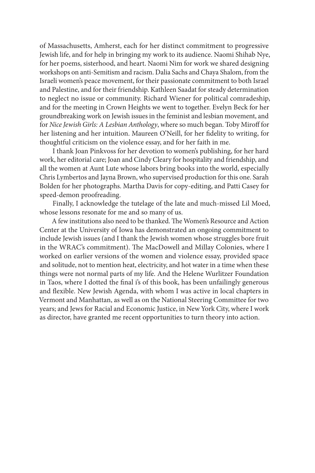of Massachusetts, Amherst, each for her distinct commitment to progressive Jewish life, and for help in bringing my work to its audience. Naomi Shihab Nye, for her poems, sisterhood, and heart. Naomi Nim for work we shared designing workshops on anti-Semitism and racism. Dalia Sachs and Chaya Shalom, from the Israeli women's peace movement, for their passionate commitment to both Israel and Palestine, and for their friendship. Kathleen Saadat for steady determination to neglect no issue or community. Richard Wiener for political comradeship, and for the meeting in Crown Heights we went to together. Evelyn Beck for her groundbreaking work on Jewish issues in the feminist and lesbian movement, and for *Nice Jewish Girls: A Lesbian Anthology*, where so much began. Toby Miroff for her listening and her intuition. Maureen O'Neill, for her fidelity to writing, for thoughtful criticism on the violence essay, and for her faith in me.

I thank Joan Pinkvoss for her devotion to women's publishing, for her hard work, her editorial care; Joan and Cindy Cleary for hospitality and friendship, and all the women at Aunt Lute whose labors bring books into the world, especially Chris Lymbertos and Jayna Brown, who supervised production for this one. Sarah Bolden for her photographs. Martha Davis for copy-editing, and Patti Casey for speed-demon proofreading.

Finally, I acknowledge the tutelage of the late and much-missed Lil Moed, whose lessons resonate for me and so many of us.

A few institutions also need to be thanked. The Women's Resource and Action Center at the University of Iowa has demonstrated an ongoing commitment to include Jewish issues (and I thank the Jewish women whose struggles bore fruit in the WRAC's commitment). The MacDowell and Millay Colonies, where I worked on earlier versions of the women and violence essay, provided space and solitude, not to mention heat, electricity, and hot water in a time when these things were not normal parts of my life. And the Helene Wurlitzer Foundation in Taos, where I dotted the final i's of this book, has been unfailingly generous and flexible. New Jewish Agenda, with whom I was active in local chapters in Vermont and Manhattan, as well as on the National Steering Committee for two years; and Jews for Racial and Economic Justice, in New York City, where I work as director, have granted me recent opportunities to turn theory into action.